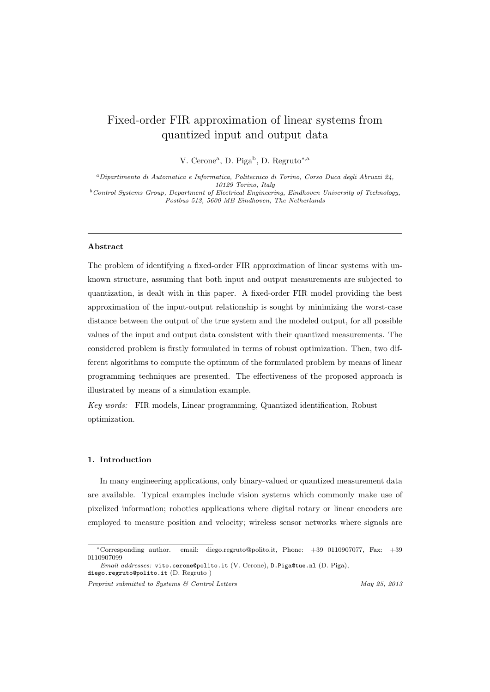# Fixed-order FIR approximation of linear systems from quantized input and output data

V. Cerone<sup>a</sup> , D. Piga<sup>b</sup> , D. Regruto*∗*,a

*<sup>a</sup>Dipartimento di Automatica e Informatica, Politecnico di Torino, Corso Duca degli Abruzzi 24, 10129 Torino, Italy <sup>b</sup>Control Systems Group, Department of Electrical Engineering, Eindhoven University of Technology,*

*Postbus 513, 5600 MB Eindhoven, The Netherlands*

# **Abstract**

The problem of identifying a fixed-order FIR approximation of linear systems with unknown structure, assuming that both input and output measurements are subjected to quantization, is dealt with in this paper. A fixed-order FIR model providing the best approximation of the input-output relationship is sought by minimizing the worst-case distance between the output of the true system and the modeled output, for all possible values of the input and output data consistent with their quantized measurements. The considered problem is firstly formulated in terms of robust optimization. Then, two different algorithms to compute the optimum of the formulated problem by means of linear programming techniques are presented. The effectiveness of the proposed approach is illustrated by means of a simulation example.

*Key words:* FIR models, Linear programming, Quantized identification, Robust optimization.

### **1. Introduction**

In many engineering applications, only binary-valued or quantized measurement data are available. Typical examples include vision systems which commonly make use of pixelized information; robotics applications where digital rotary or linear encoders are employed to measure position and velocity; wireless sensor networks where signals are

*Preprint submitted to Systems & Control Letters May 25, 2013*

*<sup>∗</sup>*Corresponding author. email: diego.regruto@polito.it, Phone: +39 0110907077, Fax: +39 0110907099

*Email addresses:* vito.cerone@polito.it (V. Cerone), D.Piga@tue.nl (D. Piga), diego.regruto@polito.it (D. Regruto )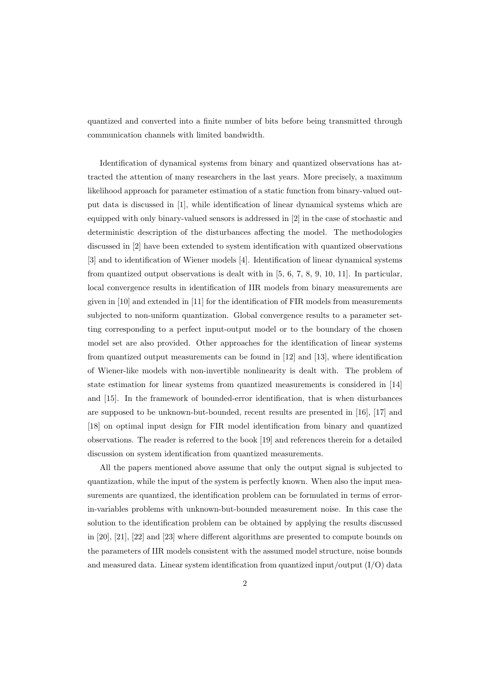quantized and converted into a finite number of bits before being transmitted through communication channels with limited bandwidth.

Identification of dynamical systems from binary and quantized observations has attracted the attention of many researchers in the last years. More precisely, a maximum likelihood approach for parameter estimation of a static function from binary-valued output data is discussed in [1], while identification of linear dynamical systems which are equipped with only binary-valued sensors is addressed in [2] in the case of stochastic and deterministic description of the disturbances affecting the model. The methodologies discussed in [2] have been extended to system identification with quantized observations [3] and to identification of Wiener models [4]. Identification of linear dynamical systems from quantized output observations is dealt with in [5, 6, 7, 8, 9, 10, 11]. In particular, local convergence results in identification of IIR models from binary measurements are given in [10] and extended in [11] for the identification of FIR models from measurements subjected to non-uniform quantization. Global convergence results to a parameter setting corresponding to a perfect input-output model or to the boundary of the chosen model set are also provided. Other approaches for the identification of linear systems from quantized output measurements can be found in [12] and [13], where identification of Wiener-like models with non-invertible nonlinearity is dealt with. The problem of state estimation for linear systems from quantized measurements is considered in [14] and [15]. In the framework of bounded-error identification, that is when disturbances are supposed to be unknown-but-bounded, recent results are presented in [16], [17] and [18] on optimal input design for FIR model identification from binary and quantized observations. The reader is referred to the book [19] and references therein for a detailed discussion on system identification from quantized measurements.

All the papers mentioned above assume that only the output signal is subjected to quantization, while the input of the system is perfectly known. When also the input measurements are quantized, the identification problem can be formulated in terms of errorin-variables problems with unknown-but-bounded measurement noise. In this case the solution to the identification problem can be obtained by applying the results discussed in [20], [21], [22] and [23] where different algorithms are presented to compute bounds on the parameters of IIR models consistent with the assumed model structure, noise bounds and measured data. Linear system identification from quantized input/output  $(I/O)$  data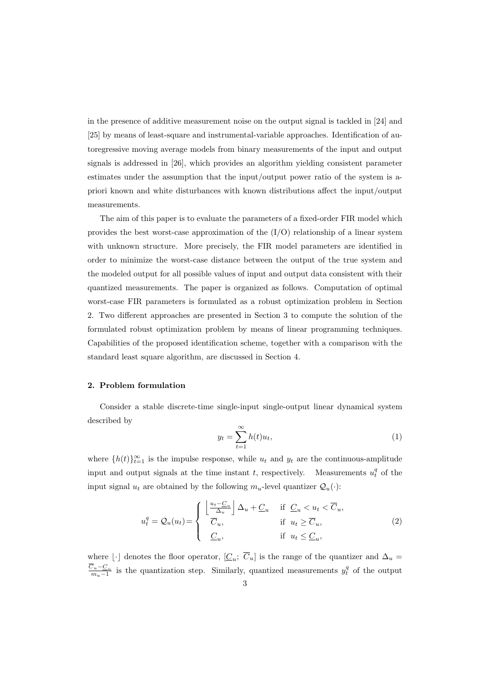in the presence of additive measurement noise on the output signal is tackled in [24] and [25] by means of least-square and instrumental-variable approaches. Identification of autoregressive moving average models from binary measurements of the input and output signals is addressed in [26], which provides an algorithm yielding consistent parameter estimates under the assumption that the input/output power ratio of the system is apriori known and white disturbances with known distributions affect the input/output measurements.

The aim of this paper is to evaluate the parameters of a fixed-order FIR model which provides the best worst-case approximation of the  $(I/O)$  relationship of a linear system with unknown structure. More precisely, the FIR model parameters are identified in order to minimize the worst-case distance between the output of the true system and the modeled output for all possible values of input and output data consistent with their quantized measurements. The paper is organized as follows. Computation of optimal worst-case FIR parameters is formulated as a robust optimization problem in Section 2. Two different approaches are presented in Section 3 to compute the solution of the formulated robust optimization problem by means of linear programming techniques. Capabilities of the proposed identification scheme, together with a comparison with the standard least square algorithm, are discussed in Section 4.

## **2. Problem formulation**

Consider a stable discrete-time single-input single-output linear dynamical system described by

$$
y_t = \sum_{t=1}^{\infty} h(t)u_t,
$$
\n(1)

where  $\{h(t)\}_{t=1}^{\infty}$  is the impulse response, while  $u_t$  and  $y_t$  are the continuous-amplitude input and output signals at the time instant *t*, respectively. Measurements  $u_t^q$  of the input signal  $u_t$  are obtained by the following  $m_u$ -level quantizer  $\mathcal{Q}_u(\cdot)$ :

$$
u_t^q = Q_u(u_t) = \begin{cases} \left\lfloor \frac{u_t - C_u}{\Delta_u} \right\rfloor \Delta_u + \underline{C}_u & \text{if } \underline{C}_u < u_t < \overline{C}_u, \\ \overline{C}_u, & \text{if } u_t \ge \overline{C}_u, \\ \underline{C}_u, & \text{if } u_t \le \underline{C}_u, \end{cases}
$$
 (2)

where  $\lfloor \cdot \rfloor$  denotes the floor operator,  $[\underline{C}_u; C_u]$  is the range of the quantizer and  $\Delta_u =$ *Cu−C<sup>u</sup>*  $\frac{C_u - C_u}{m_u - 1}$  is the quantization step. Similarly, quantized measurements  $y_t^q$  of the output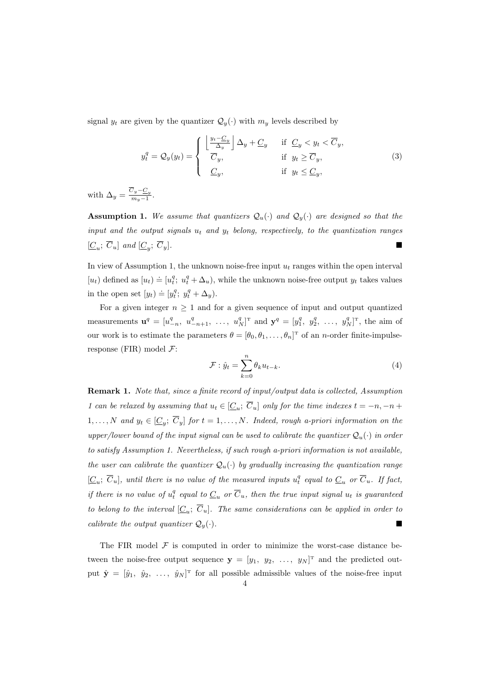signal  $y_t$  are given by the quantizer  $\mathcal{Q}_y(\cdot)$  with  $m_y$  levels described by

$$
y_t^q = Q_y(y_t) = \begin{cases} \left\lfloor \frac{y_t - C_y}{\Delta_y} \right\rfloor \Delta_y + C_y & \text{if } C_y < y_t < \overline{C}_y, \\ \overline{C}_y, & \text{if } y_t \ge \overline{C}_y, \\ C_y, & \text{if } y_t \le C_y, \end{cases}
$$
(3)

with  $\Delta_y = \frac{C_y - C_y}{m_y - 1}$  $\frac{y}{m_y-1}$ .

**Assumption 1.** We assume that quantizers  $\mathcal{Q}_u(\cdot)$  and  $\mathcal{Q}_y(\cdot)$  are designed so that the *input and the output signals u<sup>t</sup> and y<sup>t</sup> belong, respectively, to the quantization ranges*  $[\underline{C}_u; \ \overline{C}_u]$  and  $[\underline{C}_y]$ ; *Cy*]*.*

In view of Assumption 1, the unknown noise-free input *u<sup>t</sup>* ranges within the open interval  $[u_t]$  defined as  $[u_t] \doteq [u_t^q; u_t^q + \Delta_u)$ , while the unknown noise-free output  $y_t$  takes values in the open set  $[y_t] \doteq [y_t^q; y_t^q + \Delta_y)$ .

For a given integer  $n \geq 1$  and for a given sequence of input and output quantized measurements  $\mathbf{u}^q = [u_{-n}^q, u_{-n+1}^q, \dots, u_N^q]^T$  and  $\mathbf{y}^q = [y_1^q, y_2^q, \dots, y_N^q]^T$ , the aim of our work is to estimate the parameters  $\theta = [\theta_0, \theta_1, \dots, \theta_n]^T$  of an *n*-order finite-impulseresponse (FIR) model *F*:

$$
\mathcal{F}: \hat{y}_t = \sum_{k=0}^n \theta_k u_{t-k}.\tag{4}
$$

**Remark 1.** *Note that, since a finite record of input/output data is collected, Assumption 1* can be relaxed by assuming that  $u_t \in [C_u; C_u]$  only for the time indexes  $t = -n, -n +$  $1, \ldots, N$  and  $y_t \in [\underline{C}_y; C_y]$  for  $t = 1, \ldots, N$ . Indeed, rough a-priori information on the *upper/lower bound of the input signal can be used to calibrate the quantizer*  $Q_u(\cdot)$  *in order to satisfy Assumption 1. Nevertheless, if such rough a-priori information is not available, the user can calibrate the quantizer*  $Q_u(\cdot)$  *by gradually increasing the quantization range*  $[\underline{C}_u; \ \overline{C}_u]$ , until there is no value of the measured inputs  $u_t^q$  equal to  $\underline{C}_u$  or  $\overline{C}_u$ . If fact, *if there is no value of*  $u_t^q$  *equal to*  $\underline{C}_u$  *or*  $\overline{C}_u$ *, then the true input signal*  $u_t$  *is guaranteed to belong to the interval*  $[\underline{C}_u; C_u]$ *. The same considerations can be applied in order to calibrate the output quantizer*  $Q_y(\cdot)$ *.* 

The FIR model  $F$  is computed in order to minimize the worst-case distance between the noise-free output sequence  $\mathbf{y} = [y_1, y_2, \ldots, y_N]^T$  and the predicted output  $\hat{\mathbf{y}} = [\hat{y}_1, \ \hat{y}_2, \ \ldots, \ \hat{y}_N]^T$  for all possible admissible values of the noise-free input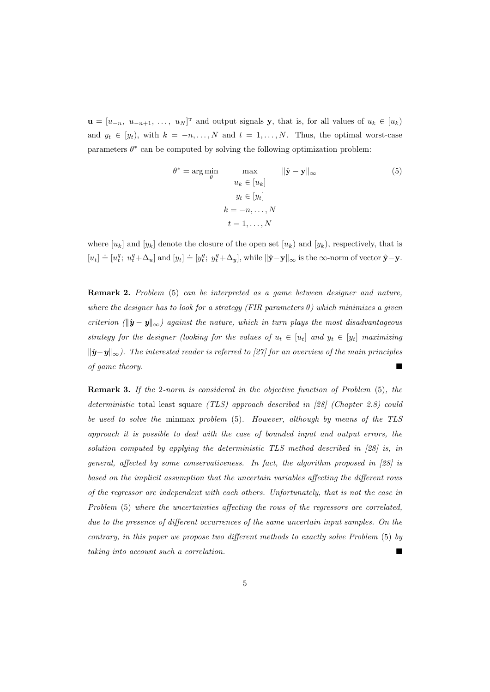$\mathbf{u} = [u_{-n}, u_{-n+1}, \ldots, u_N]^T$  and output signals **y**, that is, for all values of  $u_k \in [u_k]$ and  $y_t \in [y_t)$ , with  $k = -n, \ldots, N$  and  $t = 1, \ldots, N$ . Thus, the optimal worst-case parameters  $\theta^*$  can be computed by solving the following optimization problem:

$$
\theta^* = \arg\min_{\theta} \qquad \max_{u_k \in [u_k]} \qquad ||\hat{\mathbf{y}} - \mathbf{y}||_{\infty} \tag{5}
$$

$$
y_t \in [y_t]
$$

$$
k = -n, ..., N
$$

$$
t = 1, ..., N
$$

where  $[u_k]$  and  $[y_k]$  denote the closure of the open set  $[u_k]$  and  $[y_k]$ , respectively, that is  $[u_t] \doteq [u_t^q; u_t^q + \Delta_u]$  and  $[y_t] \doteq [y_t^q; y_t^q + \Delta_y]$ , while  $\|\hat{\mathbf{y}} - \mathbf{y}\|_{\infty}$  is the  $\infty$ -norm of vector  $\hat{\mathbf{y}} - \mathbf{y}$ .

**Remark 2.** *Problem* (5) *can be interpreted as a game between designer and nature, where the designer has to look for a strategy (FIR parameters θ) which minimizes a given criterion*  $(\|\hat{\mathbf{y}} - \mathbf{y}\|_{\infty})$  against the nature, which in turn plays the most disadvantageous *strategy for the designer (looking for the values of*  $u_t \in [u_t]$  *and*  $y_t \in [y_t]$  *maximizing*  $||\hat{y}-y||_{\infty}$ *). The interested reader is referred to [27] for an overview of the main principles of game theory.*

**Remark 3.** *If the* 2*-norm is considered in the objective function of Problem* (5)*, the deterministic* total least square *(TLS) approach described in [28] (Chapter 2.8) could be used to solve the* minmax *problem* (5)*. However, although by means of the TLS approach it is possible to deal with the case of bounded input and output errors, the solution computed by applying the deterministic TLS method described in [28] is, in general, affected by some conservativeness. In fact, the algorithm proposed in [28] is based on the implicit assumption that the uncertain variables affecting the different rows of the regressor are independent with each others. Unfortunately, that is not the case in Problem* (5) *where the uncertainties affecting the rows of the regressors are correlated, due to the presence of different occurrences of the same uncertain input samples. On the contrary, in this paper we propose two different methods to exactly solve Problem* (5) *by taking into account such a correlation.*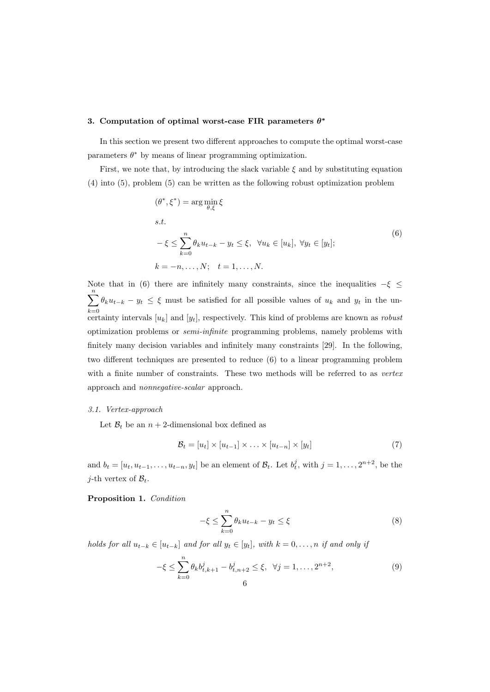#### **3. Computation of optimal worst-case FIR parameters** *θ ∗*

In this section we present two different approaches to compute the optimal worst-case parameters  $\theta^*$  by means of linear programming optimization.

First, we note that, by introducing the slack variable  $\xi$  and by substituting equation (4) into (5), problem (5) can be written as the following robust optimization problem

$$
(\theta^*, \xi^*) = \arg\min_{\theta, \xi} \xi
$$
  
s.t.  

$$
-\xi \le \sum_{k=0}^n \theta_k u_{t-k} - y_t \le \xi, \quad \forall u_k \in [u_k], \quad \forall y_t \in [y_t];
$$
  

$$
k = -n, \dots, N; \quad t = 1, \dots, N.
$$
 (6)

Note that in (6) there are infinitely many constraints, since the inequalities *−ξ ≤* ∑*n k*=0  $\theta_k u_{t-k} - y_t \leq \xi$  must be satisfied for all possible values of  $u_k$  and  $y_t$  in the uncertainty intervals [*uk*] and [*yt*], respectively. This kind of problems are known as *robust* optimization problems or *semi-infinite* programming problems, namely problems with finitely many decision variables and infinitely many constraints [29]. In the following, two different techniques are presented to reduce (6) to a linear programming problem with a finite number of constraints. These two methods will be referred to as *vertex* approach and *nonnegative-scalar* approach.

#### *3.1. Vertex-approach*

Let  $B_t$  be an  $n+2$ -dimensional box defined as

$$
\mathcal{B}_t = [u_t] \times [u_{t-1}] \times \ldots \times [u_{t-n}] \times [y_t]
$$
\n
$$
(7)
$$

and  $b_t = [u_t, u_{t-1}, \dots, u_{t-n}, y_t]$  be an element of  $\mathcal{B}_t$ . Let  $b_t^j$ , with  $j = 1, \dots, 2^{n+2}$ , be the *j*-th vertex of  $B_t$ .

## **Proposition 1.** *Condition*

$$
-\xi \le \sum_{k=0}^{n} \theta_k u_{t-k} - y_t \le \xi \tag{8}
$$

holds for all  $u_{t-k} \in [u_{t-k}]$  and for all  $y_t \in [y_t]$ , with  $k = 0, \ldots, n$  if and only if

$$
-\xi \le \sum_{k=0}^{n} \theta_k b_{t,k+1}^j - b_{t,n+2}^j \le \xi, \ \ \forall j = 1, \dots, 2^{n+2},
$$
\n<sup>(9)</sup>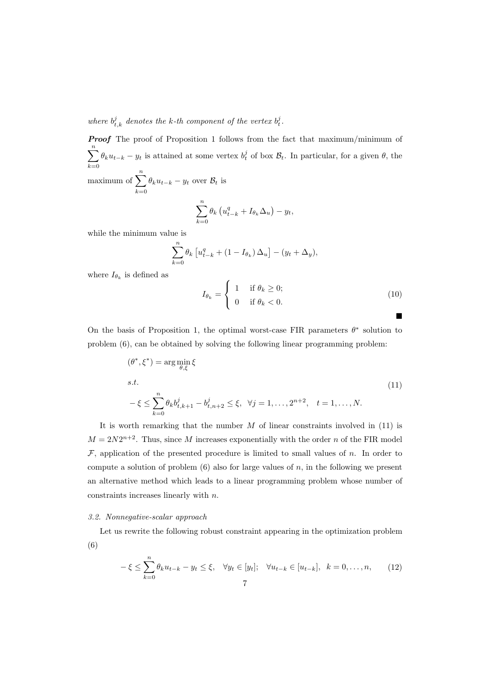where  $b_{t,k}^j$  denotes the k-th component of the vertex  $b_t^j$ .

*Proof* The proof of Proposition 1 follows from the fact that maximum/minimum of ∑*n k*=0  $\theta_k u_{t-k} - y_t$  is attained at some vertex  $b_t^j$  of box  $\mathcal{B}_t$ . In particular, for a given  $\theta$ , the maximum of  $\sum_{n=1}^n$ 

*k*=0  $\theta_k u_{t-k} - y_t$  over  $\mathcal{B}_t$  is

$$
\sum_{k=0}^{n} \theta_k \left( u_{t-k}^q + I_{\theta_k} \Delta_u \right) - y_t,
$$

while the minimum value is

$$
\sum_{k=0}^{n} \theta_k \left[ u_{t-k}^q + (1 - I_{\theta_k}) \Delta_u \right] - (y_t + \Delta_y),
$$

where  $I_{\theta_k}$  is defined as

$$
I_{\theta_k} = \begin{cases} 1 & \text{if } \theta_k \ge 0; \\ 0 & \text{if } \theta_k < 0. \end{cases}
$$
 (10)

On the basis of Proposition 1, the optimal worst-case FIR parameters *θ ∗* solution to problem (6), can be obtained by solving the following linear programming problem:

$$
(\theta^*, \xi^*) = \arg\min_{\theta, \xi} \xi
$$
  
s.t.  

$$
-\xi \le \sum_{k=0}^n \theta_k b_{t,k+1}^j - b_{t,n+2}^j \le \xi, \ \forall j = 1, ..., 2^{n+2}, \ t = 1, ..., N.
$$
 (11)

It is worth remarking that the number *M* of linear constraints involved in (11) is  $M = 2N2^{n+2}$ . Thus, since *M* increases exponentially with the order *n* of the FIR model *F*, application of the presented procedure is limited to small values of *n*. In order to compute a solution of problem  $(6)$  also for large values of  $n$ , in the following we present an alternative method which leads to a linear programming problem whose number of constraints increases linearly with *n*.

# *3.2. Nonnegative-scalar approach*

Let us rewrite the following robust constraint appearing in the optimization problem (6)

$$
-\xi \leq \sum_{k=0}^{n} \theta_k u_{t-k} - y_t \leq \xi, \quad \forall y_t \in [y_t]; \quad \forall u_{t-k} \in [u_{t-k}], \quad k = 0, \dots, n,
$$
 (12)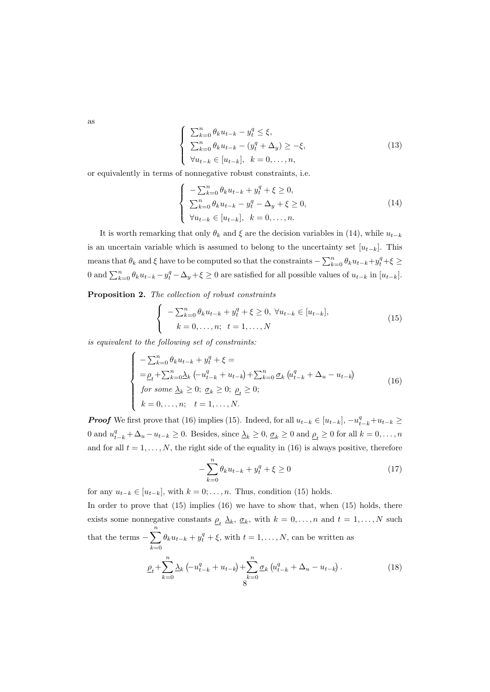as

$$
\begin{cases}\n\sum_{k=0}^{n} \theta_k u_{t-k} - y_t^q \leq \xi, \\
\sum_{k=0}^{n} \theta_k u_{t-k} - (y_t^q + \Delta_y) \geq -\xi, \\
\forall u_{t-k} \in [u_{t-k}], \quad k = 0, \dots, n,\n\end{cases}
$$
\n(13)

or equivalently in terms of nonnegative robust constraints, i.e.

$$
\begin{cases}\n-\sum_{k=0}^{n} \theta_k u_{t-k} + y_t^q + \xi \ge 0, \\
\sum_{k=0}^{n} \theta_k u_{t-k} - y_t^q - \Delta_y + \xi \ge 0, \\
\forall u_{t-k} \in [u_{t-k}], \quad k = 0, \dots, n.\n\end{cases} (14)
$$

It is worth remarking that only  $\theta_k$  and  $\xi$  are the decision variables in (14), while  $u_{t-k}$ is an uncertain variable which is assumed to belong to the uncertainty set  $[u_{t-k}]$ . This means that  $\theta_k$  and  $\xi$  have to be computed so that the constraints  $-\sum_{k=0}^n \theta_k u_{t-k} + y_t^q + \xi \geq$ 0 and  $\sum_{k=0}^{n} \theta_k u_{t-k} - y_t^q - \Delta_y + \xi \ge 0$  are satisfied for all possible values of  $u_{t-k}$  in  $[u_{t-k}]$ .

**Proposition 2.** *The collection of robust constraints*

$$
\begin{cases}\n-\sum_{k=0}^{n} \theta_k u_{t-k} + y_t^q + \xi \ge 0, \ \forall u_{t-k} \in [u_{t-k}], \\
k = 0, \dots, n; \ t = 1, \dots, N\n\end{cases}
$$
\n(15)

*is equivalent to the following set of constraints:*

$$
\begin{cases}\n-\sum_{k=0}^{n} \theta_k u_{t-k} + y_t^q + \xi = \\
= \underline{\rho}_t + \sum_{k=0}^{n} \underline{\lambda}_k \left( -u_{t-k}^q + u_{t-k} \right) + \sum_{k=0}^{n} \underline{\sigma}_k \left( u_{t-k}^q + \Delta_u - u_{t-k} \right) \\
for some \ \underline{\lambda}_k \ge 0; \ \underline{\sigma}_k \ge 0; \ \underline{\rho}_t \ge 0; \\
k = 0, \dots, n; \quad t = 1, \dots, N.\n\end{cases} \tag{16}
$$

**Proof** We first prove that (16) implies (15). Indeed, for all  $u_{t-k} \in [u_{t-k}]$ ,  $-u_{t-k}^q + u_{t-k} \geq$ 0 and  $u_{t-k}^q + \Delta_u - u_{t-k} \ge 0$ . Besides, since  $\Delta_k \ge 0$ ,  $\underline{\sigma}_k \ge 0$  and  $\underline{\rho}_t \ge 0$  for all  $k = 0, \ldots, n$ and for all  $t = 1, \ldots, N$ , the right side of the equality in (16) is always positive, therefore

$$
-\sum_{k=0}^{n} \theta_k u_{t-k} + y_t^q + \xi \ge 0
$$
\n(17)

for any  $u_{t-k} \in [u_{t-k}]$ , with  $k = 0; \ldots, n$ . Thus, condition (15) holds.

In order to prove that (15) implies (16) we have to show that, when (15) holds, there exists some nonnegative constants  $\rho_t$   $\lambda_k$ ,  $\sigma_k$ , with  $k = 0, \ldots, n$  and  $t = 1, \ldots, N$  such that the terms  $-\sum_{n=1}^{\infty}$ *k*=0  $\theta_k u_{t-k} + y_t^q + \xi$ , with  $t = 1, \ldots, N$ , can be written as

$$
\underline{\rho}_t + \sum_{k=0}^n \underline{\lambda}_k \left( -u_{t-k}^q + u_{t-k} \right) + \sum_{k=0}^n \underline{\sigma}_k \left( u_{t-k}^q + \Delta_u - u_{t-k} \right). \tag{18}
$$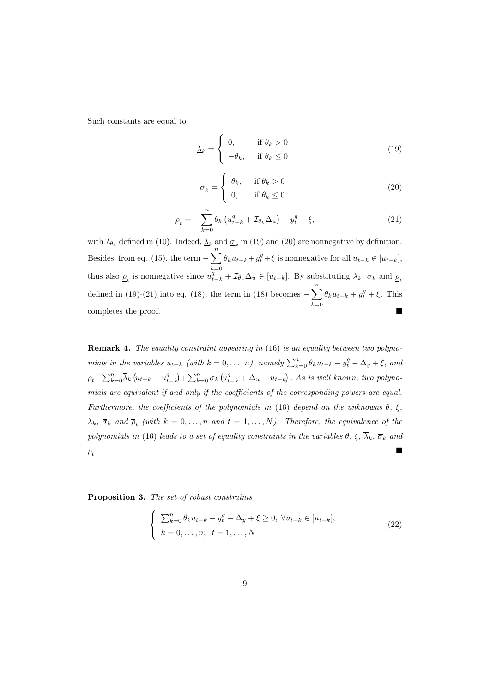Such constants are equal to

$$
\underline{\lambda}_k = \begin{cases} 0, & \text{if } \theta_k > 0 \\ -\theta_k, & \text{if } \theta_k \le 0 \end{cases} \tag{19}
$$

$$
\underline{\sigma}_k = \begin{cases} \theta_k, & \text{if } \theta_k > 0 \\ 0, & \text{if } \theta_k \le 0 \end{cases}
$$
 (20)

$$
\underline{\rho}_t = -\sum_{k=0}^n \theta_k \left( u_{t-k}^q + \mathcal{I}_{\theta_k} \Delta_u \right) + y_t^q + \xi,\tag{21}
$$

with  $\mathcal{I}_{\theta_k}$  defined in (10). Indeed,  $\Delta_k$  and  $\sigma_k$  in (19) and (20) are nonnegative by definition. Besides, from eq. (15), the term  $-\sum_{n=1}^{\infty}$ *k*=0  $\theta_k u_{t-k} + y_t^q + \xi$  is nonnegative for all  $u_{t-k} \in [u_{t-k}],$ thus also  $\underline{\rho}_t$  is nonnegative since  $\overline{u}_{t-k}^q + \mathcal{I}_{\theta_k} \Delta_u \in [u_{t-k}]$ . By substituting  $\underline{\lambda}_k$ ,  $\underline{\sigma}_k$  and  $\underline{\rho}_t$ defined in (19)-(21) into eq. (18), the term in (18) becomes  $-\sum_{n=1}^{\infty}$ *k*=0  $\theta_k u_{t-k} + y_t^q + \xi$ . This completes the proof.

**Remark 4.** *The equality constraint appearing in* (16) *is an equality between two polyno*mials in the variables  $u_{t-k}$  (with  $k = 0, ..., n$ ), namely  $\sum_{k=0}^{n} \theta_k u_{t-k} - y_t^q - \Delta_y + \xi$ , and  $\overline{\rho}_t+\sum_{k=0}^n\overline{\lambda}_k\left(u_{t-k}-u_{t-k}^q\right)+\sum_{k=0}^n\overline{\sigma}_k\left(u_{t-k}^q+\Delta_u-u_{t-k}\right)$ . As is well known, two polyno*mials are equivalent if and only if the coefficients of the corresponding powers are equal. Furthermore, the coefficients of the polynomials in* (16) *depend on the unknowns θ, ξ,*  $\lambda_k$ ,  $\overline{\sigma}_k$  and  $\overline{\rho}_t$  (with  $k = 0, \ldots, n$  and  $t = 1, \ldots, N$ ). Therefore, the equivalence of the *polynomials in* (16) *leads to a set of equality constraints in the variables*  $\theta$ *,*  $\xi$ *,*  $\overline{\lambda}_k$ *,*  $\overline{\sigma}_k$  *and*  $\overline{\rho}_t$ . *.*

**Proposition 3.** *The set of robust constraints*

$$
\begin{cases}\n\sum_{k=0}^{n} \theta_k u_{t-k} - y_t^q - \Delta_y + \xi \ge 0, \ \forall u_{t-k} \in [u_{t-k}], \\
k = 0, \dots, n; \ t = 1, \dots, N\n\end{cases}
$$
\n(22)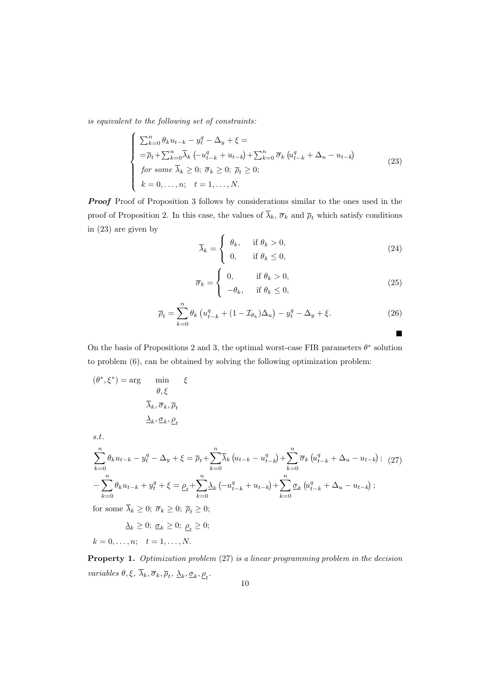*is equivalent to the following set of constraints:*

$$
\begin{cases}\n\sum_{k=0}^{n} \theta_k u_{t-k} - y_t^q - \Delta_y + \xi = \\
= \overline{\rho}_t + \sum_{k=0}^{n} \overline{\lambda}_k \left( -u_{t-k}^q + u_{t-k} \right) + \sum_{k=0}^{n} \overline{\sigma}_k \left( u_{t-k}^q + \Delta_u - u_{t-k} \right) \\
for some \ \overline{\lambda}_k \ge 0; \ \overline{\sigma}_k \ge 0; \ \overline{\rho}_t \ge 0; \\
k = 0, \dots, n; \quad t = 1, \dots, N.\n\end{cases} \tag{23}
$$

*Proof* Proof of Proposition 3 follows by considerations similar to the ones used in the proof of Proposition 2. In this case, the values of  $\overline{\lambda}_k$ ,  $\overline{\sigma}_k$  and  $\overline{\rho}_t$  which satisfy conditions in (23) are given by

$$
\overline{\lambda}_k = \begin{cases} \theta_k, & \text{if } \theta_k > 0, \\ 0, & \text{if } \theta_k \le 0, \end{cases}
$$
 (24)

$$
\overline{\sigma}_k = \begin{cases} 0, & \text{if } \theta_k > 0, \\ -\theta_k, & \text{if } \theta_k \le 0, \end{cases}
$$
 (25)

щ

$$
\overline{\rho}_t = \sum_{k=0}^n \theta_k \left( u_{t-k}^q + (1 - \mathcal{I}_{\theta_k}) \Delta_u \right) - y_t^q - \Delta_y + \xi. \tag{26}
$$

On the basis of Propositions 2 and 3, the optimal worst-case FIR parameters  $\theta^*$  solution to problem (6), can be obtained by solving the following optimization problem:

$$
(\theta^*,\xi^*) = \arg \min_{\theta,\xi} \xi
$$

$$
\overline{\lambda}_k, \overline{\sigma}_k, \overline{\rho}_t
$$

$$
\underline{\lambda}_k, \underline{\sigma}_k, \underline{\rho}_t
$$

*s.t.*

$$
\sum_{k=0}^{n} \theta_k u_{t-k} - y_t^q - \Delta_y + \xi = \overline{\rho}_t + \sum_{k=0}^{n} \overline{\lambda}_k \left( u_{t-k} - u_{t-k}^q \right) + \sum_{k=0}^{n} \overline{\sigma}_k \left( u_{t-k}^q + \Delta_u - u_{t-k} \right); \tag{27}
$$

$$
- \sum_{k=0}^{n} \theta_k u_{t-k} + y_t^q + \xi = \underline{\rho}_t + \sum_{k=0}^{n} \underline{\lambda}_k \left( -u_{t-k}^q + u_{t-k} \right) + \sum_{k=0}^{n} \underline{\sigma}_k \left( u_{t-k}^q + \Delta_u - u_{t-k} \right);
$$
for some  $\overline{\lambda}_t > 0$ ,  $\overline{\sigma}_t > 0$ ,  $\overline{\sigma}_t > 0$ .

for some  $\lambda_k \geq 0$ ;  $\overline{\sigma}_k \geq 0$ ;  $\overline{\rho}_t \geq 0$ ;

$$
\underline{\lambda}_k \ge 0; \ \underline{\sigma}_k \ge 0; \ \underline{\rho}_t \ge 0; \\ k = 0, \dots, n; \quad t = 1, \dots, N.
$$

**Property 1.** *Optimization problem* (27) *is a linear programming problem in the decision variables*  $\theta, \xi, \lambda_k, \overline{\sigma}_k, \overline{\rho}_t, \lambda_k, \underline{\sigma}_k, \underline{\rho}_t$ .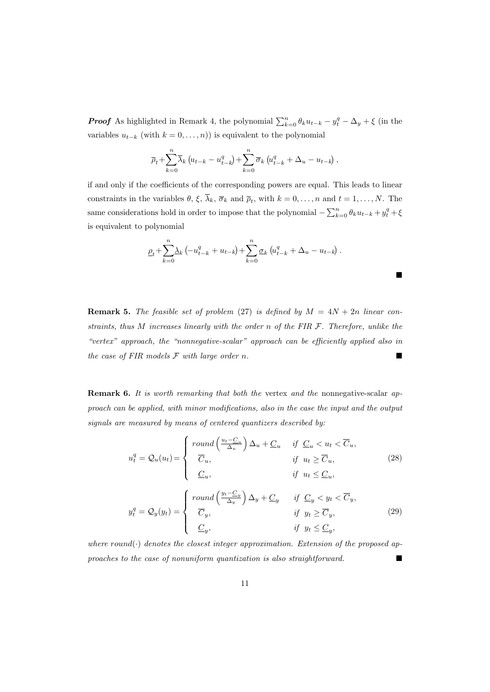*Proof* As highlighted in Remark 4, the polynomial  $\sum_{k=0}^{n} \theta_k u_{t-k} - y_t^q - \Delta_y + \xi$  (in the variables  $u_{t-k}$  (with  $k = 0, \ldots, n$ )) is equivalent to the polynomial

$$
\overline{\rho}_t + \sum_{k=0}^n \overline{\lambda}_k \left( u_{t-k} - u_{t-k}^q \right) + \sum_{k=0}^n \overline{\sigma}_k \left( u_{t-k}^q + \Delta_u - u_{t-k} \right),
$$

if and only if the coefficients of the corresponding powers are equal. This leads to linear constraints in the variables  $\theta$ ,  $\xi$ ,  $\lambda_k$ ,  $\overline{\sigma}_k$  and  $\overline{\rho}_t$ , with  $k = 0, \ldots, n$  and  $t = 1, \ldots, N$ . The same considerations hold in order to impose that the polynomial  $-\sum_{k=0}^{n} \theta_k u_{t-k} + y_t^q + \xi$ is equivalent to polynomial

$$
\underline{\rho}_t + \sum_{k=0}^n \underline{\lambda}_k \left( -u_{t-k}^q + u_{t-k} \right) + \sum_{k=0}^n \underline{\sigma}_k \left( u_{t-k}^q + \Delta_u - u_{t-k} \right).
$$

 $\blacksquare$ 

**Remark 5.** *The feasible set of problem* (27) *is defined by*  $M = 4N + 2n$  *linear constraints, thus M increases linearly with the order n of the FIR F. Therefore, unlike the "vertex" approach, the "nonnegative-scalar" approach can be efficiently applied also in the case of FIR models F with large order n.*

**Remark 6.** *It is worth remarking that both the* vertex *and the* nonnegative-scalar *approach can be applied, with minor modifications, also in the case the input and the output signals are measured by means of centered quantizers described by:*

$$
u_t^q = Q_u(u_t) = \begin{cases} \text{round}\left(\frac{u_t - C_u}{\Delta_u}\right) \Delta_u + C_u & \text{if } C_u < u_t < \overline{C}_u, \\ \overline{C}_u, & \text{if } u_t \ge \overline{C}_u, \\ C_u, & \text{if } u_t \le C_u, \end{cases} \tag{28}
$$
\n
$$
y_t^q = Q_y(y_t) = \begin{cases} \text{round}\left(\frac{y_t - C_y}{\Delta_y}\right) \Delta_y + C_y & \text{if } C_y < y_t < \overline{C}_y, \\ \overline{C}_y, & \text{if } y_t \ge \overline{C}_y, \\ C_y, & \text{if } y_t \le C_y, \end{cases} \tag{29}
$$

*where round*(*·*) *denotes the closest integer approximation. Extension of the proposed approaches to the case of nonuniform quantization is also straightforward.*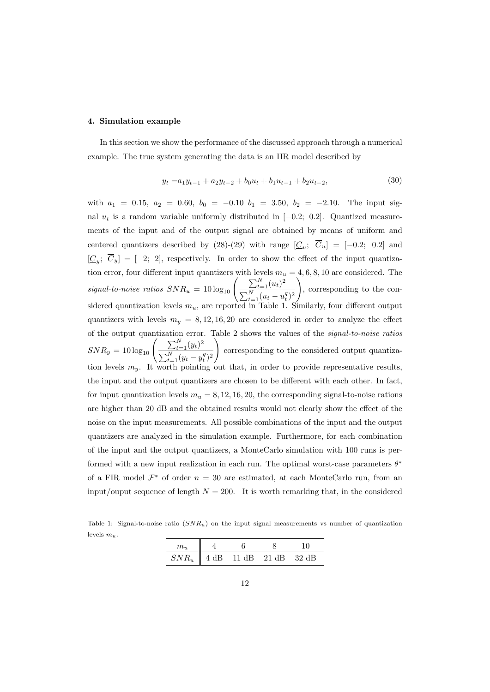#### **4. Simulation example**

In this section we show the performance of the discussed approach through a numerical example. The true system generating the data is an IIR model described by

$$
y_t = a_1 y_{t-1} + a_2 y_{t-2} + b_0 u_t + b_1 u_{t-1} + b_2 u_{t-2},
$$
\n(30)

with  $a_1 = 0.15$ ,  $a_2 = 0.60$ ,  $b_0 = -0.10$   $b_1 = 3.50$ ,  $b_2 = -2.10$ . The input signal  $u_t$  is a random variable uniformly distributed in [ $-0.2$ ; 0.2]. Quantized measurements of the input and of the output signal are obtained by means of uniform and centered quantizers described by  $(28)-(29)$  with range  $[\underline{C}_u; C_u] = [-0.2; 0.2]$  and  $[\underline{C}_y; \ \overline{C}_y] = [-2; 2]$ , respectively. In order to show the effect of the input quantization error, four different input quantizers with levels  $m_u = 4, 6, 8, 10$  are considered. The *signal-to-noise ratios*  $SNR_u = 10 \log_{10} \left( \frac{\sum_{t=1}^{N} (u_t)^2}{\sum_{t=1}^{N} (u_t)^2} \right)$  $\sum_{t=1}^{N} (u_t - u_t^q)^2$  $\setminus$ , corresponding to the considered quantization levels *mu*, are reported in Table 1. Similarly, four different output quantizers with levels  $m_y = 8, 12, 16, 20$  are considered in order to analyze the effect of the output quantization error. Table 2 shows the values of the *signal-to-noise ratios*  $SNR_y = 10 \log_{10} \left( \frac{\sum_{t=1}^{N} (y_t)^2}{\sum_{t=1}^{N} (y_t)^2} \right)$  $\sum_{t=1}^{N} (y_t - y_t^q)^2$  $\setminus$ corresponding to the considered output quantization levels  $m_y$ . It worth pointing out that, in order to provide representative results, the input and the output quantizers are chosen to be different with each other. In fact, for input quantization levels  $m_u = 8, 12, 16, 20$ , the corresponding signal-to-noise rations are higher than 20 dB and the obtained results would not clearly show the effect of the noise on the input measurements. All possible combinations of the input and the output quantizers are analyzed in the simulation example. Furthermore, for each combination of the input and the output quantizers, a MonteCarlo simulation with 100 runs is performed with a new input realization in each run. The optimal worst-case parameters *θ ∗* of a FIR model  $\mathcal{F}^*$  of order  $n = 30$  are estimated, at each MonteCarlo run, from an input/ouput sequence of length  $N = 200$ . It is worth remarking that, in the considered

Table 1: Signal-to-noise ratio (*SNRu*) on the input signal measurements vs number of quantization levels *mu*.

| $SNR_u$ | $4 dB$ 11 dB 21 dB | -32 dB |
|---------|--------------------|--------|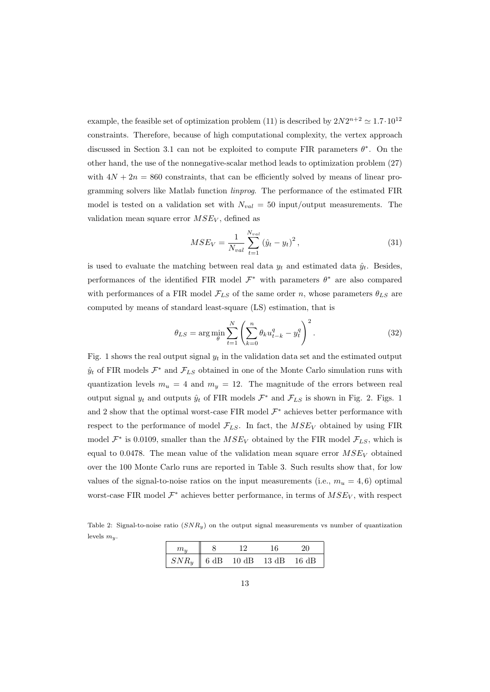example, the feasible set of optimization problem (11) is described by  $2N2^{n+2} \approx 1.7 \cdot 10^{12}$ constraints. Therefore, because of high computational complexity, the vertex approach discussed in Section 3.1 can not be exploited to compute FIR parameters *θ ∗* . On the other hand, the use of the nonnegative-scalar method leads to optimization problem (27) with  $4N + 2n = 860$  constraints, that can be efficiently solved by means of linear programming solvers like Matlab function *linprog*. The performance of the estimated FIR model is tested on a validation set with  $N_{val} = 50$  input/output measurements. The validation mean square error *MSE<sup>V</sup>* , defined as

$$
MSE_V = \frac{1}{N_{val}} \sum_{t=1}^{N_{val}} (\hat{y}_t - y_t)^2, \qquad (31)
$$

is used to evaluate the matching between real data  $y_t$  and estimated data  $\hat{y}_t$ . Besides, performances of the identified FIR model *F <sup>∗</sup>* with parameters *θ <sup>∗</sup>* are also compared with performances of a FIR model  $\mathcal{F}_{LS}$  of the same order *n*, whose parameters  $\theta_{LS}$  are computed by means of standard least-square (LS) estimation, that is

$$
\theta_{LS} = \arg\min_{\theta} \sum_{t=1}^{N} \left( \sum_{k=0}^{n} \theta_k u_{t-k}^q - y_t^q \right)^2.
$$
 (32)

Fig. 1 shows the real output signal  $y_t$  in the validation data set and the estimated output  $\hat{y}_t$  of FIR models  $\mathcal{F}^*$  and  $\mathcal{F}_{LS}$  obtained in one of the Monte Carlo simulation runs with quantization levels  $m_u = 4$  and  $m_y = 12$ . The magnitude of the errors between real output signal  $y_t$  and outputs  $\hat{y}_t$  of FIR models  $\mathcal{F}^*$  and  $\mathcal{F}_{LS}$  is shown in Fig. 2. Figs. 1 and 2 show that the optimal worst-case FIR model *F <sup>∗</sup>* achieves better performance with respect to the performance of model  $\mathcal{F}_{LS}$ . In fact, the  $MSE_V$  obtained by using FIR model  $\mathcal{F}^*$  is 0.0109, smaller than the  $MSE_V$  obtained by the FIR model  $\mathcal{F}_{LS}$ , which is equal to 0.0478. The mean value of the validation mean square error  $MSE_V$  obtained over the 100 Monte Carlo runs are reported in Table 3. Such results show that, for low values of the signal-to-noise ratios on the input measurements (i.e.,  $m_u = 4, 6$ ) optimal worst-case FIR model *F <sup>∗</sup>* achieves better performance, in terms of *MSE<sup>V</sup>* , with respect

Table 2: Signal-to-noise ratio (*SNRy*) on the output signal measurements vs number of quantization levels *my*.

| $SNR_u$   6 dB 10 dB 13 dB |  | - 16 dB |
|----------------------------|--|---------|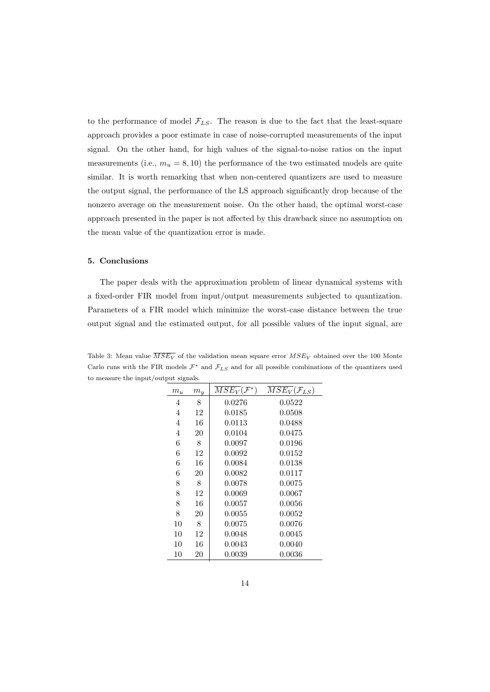to the performance of model  $\mathcal{F}_{LS}$ . The reason is due to the fact that the least-square approach provides a poor estimate in case of noise-corrupted measurements of the input signal. On the other hand, for high values of the signal-to-noise ratios on the input measurements (i.e.,  $m_u = 8, 10$ ) the performance of the two estimated models are quite similar. It is worth remarking that when non-centered quantizers are used to measure the output signal, the performance of the LS approach significantly drop because of the nonzero average on the measurement noise. On the other hand, the optimal worst-case approach presented in the paper is not affected by this drawback since no assumption on the mean value of the quantization error is made.

## **5. Conclusions**

The paper deals with the approximation problem of linear dynamical systems with a fixed-order FIR model from input/output measurements subjected to quantization. Parameters of a FIR model which minimize the worst-case distance between the true output signal and the estimated output, for all possible values of the input signal, are

| $m_u$ | $m_y$ | $MSE_V(\mathcal{F}^*)$ | $\overline{MSE_V}(\mathcal{F}_{LS})$ |
|-------|-------|------------------------|--------------------------------------|
| 4     | 8     | 0.0276                 | 0.0522                               |
| 4     | 12    | 0.0185                 | 0.0508                               |
| 4     | 16    | 0.0113                 | 0.0488                               |
| 4     | 20    | 0.0104                 | 0.0475                               |
| 6     | 8     | 0.0097                 | 0.0196                               |
| 6     | 12    | 0.0092                 | 0.0152                               |
| 6     | 16    | 0.0084                 | 0.0138                               |
| 6     | 20    | 0.0082                 | 0.0117                               |
| 8     | 8     | 0.0078                 | 0.0075                               |
| 8     | 12    | 0.0069                 | 0.0067                               |
| 8     | 16    | 0.0057                 | 0.0056                               |
| 8     | 20    | 0.0055                 | 0.0052                               |
| 10    | 8     | 0.0075                 | 0.0076                               |
| 10    | 12    | 0.0048                 | 0.0045                               |
| 10    | 16    | 0.0043                 | 0.0040                               |
| 10    | 20    | 0.0039                 | $\,0.0036\,$                         |

Table 3: Mean value  $\overline{MSE_V}$  of the validation mean square error  $MSE_V$  obtained over the 100 Monte Carlo runs with the FIR models  $\mathcal{F}^*$  and  $\mathcal{F}_{LS}$  and for all possible combinations of the quantizers used to measure the input/output signals.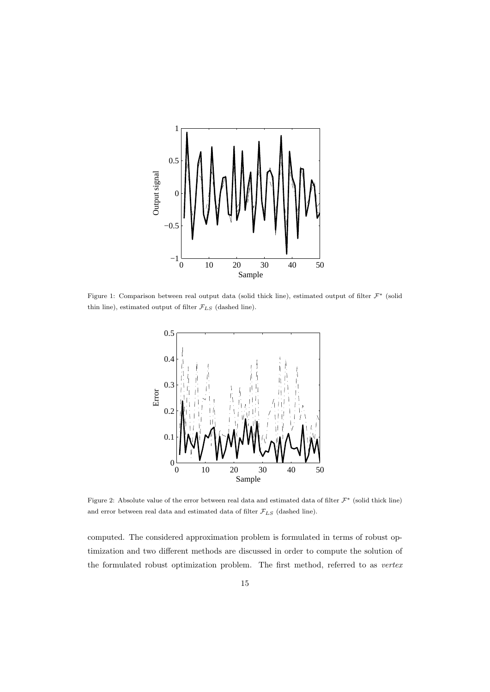

Figure 1: Comparison between real output data (solid thick line), estimated output of filter *F<sup>∗</sup>* (solid thin line), estimated output of filter  $\mathcal{F}_{LS}$  (dashed line).



Figure 2: Absolute value of the error between real data and estimated data of filter *F<sup>∗</sup>* (solid thick line) and error between real data and estimated data of filter  $\mathcal{F}_{LS}$  (dashed line).

computed. The considered approximation problem is formulated in terms of robust optimization and two different methods are discussed in order to compute the solution of the formulated robust optimization problem. The first method, referred to as *vertex*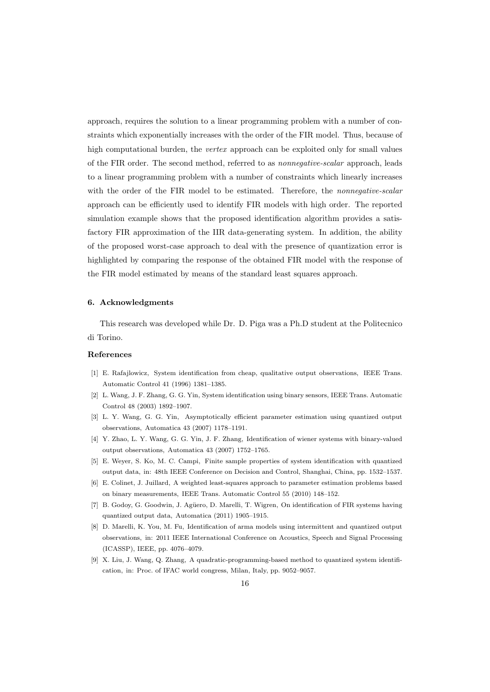approach, requires the solution to a linear programming problem with a number of constraints which exponentially increases with the order of the FIR model. Thus, because of high computational burden, the *vertex* approach can be exploited only for small values of the FIR order. The second method, referred to as *nonnegative-scalar* approach, leads to a linear programming problem with a number of constraints which linearly increases with the order of the FIR model to be estimated. Therefore, the *nonnegative-scalar* approach can be efficiently used to identify FIR models with high order. The reported simulation example shows that the proposed identification algorithm provides a satisfactory FIR approximation of the IIR data-generating system. In addition, the ability of the proposed worst-case approach to deal with the presence of quantization error is highlighted by comparing the response of the obtained FIR model with the response of the FIR model estimated by means of the standard least squares approach.

## **6. Acknowledgments**

This research was developed while Dr. D. Piga was a Ph.D student at the Politecnico di Torino.

### **References**

- [1] E. Rafajlowicz, System identification from cheap, qualitative output observations, IEEE Trans. Automatic Control 41 (1996) 1381–1385.
- [2] L. Wang, J. F. Zhang, G. G. Yin, System identification using binary sensors, IEEE Trans. Automatic Control 48 (2003) 1892–1907.
- [3] L. Y. Wang, G. G. Yin, Asymptotically efficient parameter estimation using quantized output observations, Automatica 43 (2007) 1178–1191.
- [4] Y. Zhao, L. Y. Wang, G. G. Yin, J. F. Zhang, Identification of wiener systems with binary-valued output observations, Automatica 43 (2007) 1752–1765.
- [5] E. Weyer, S. Ko, M. C. Campi, Finite sample properties of system identification with quantized output data, in: 48th IEEE Conference on Decision and Control, Shanghai, China, pp. 1532–1537.
- [6] E. Colinet, J. Juillard, A weighted least-squares approach to parameter estimation problems based on binary measurements, IEEE Trans. Automatic Control 55 (2010) 148–152.
- [7] B. Godoy, G. Goodwin, J. Agüero, D. Marelli, T. Wigren, On identification of FIR systems having quantized output data, Automatica (2011) 1905–1915.
- [8] D. Marelli, K. You, M. Fu, Identification of arma models using intermittent and quantized output observations, in: 2011 IEEE International Conference on Acoustics, Speech and Signal Processing (ICASSP), IEEE, pp. 4076–4079.
- [9] X. Liu, J. Wang, Q. Zhang, A quadratic-programming-based method to quantized system identification, in: Proc. of IFAC world congress, Milan, Italy, pp. 9052–9057.